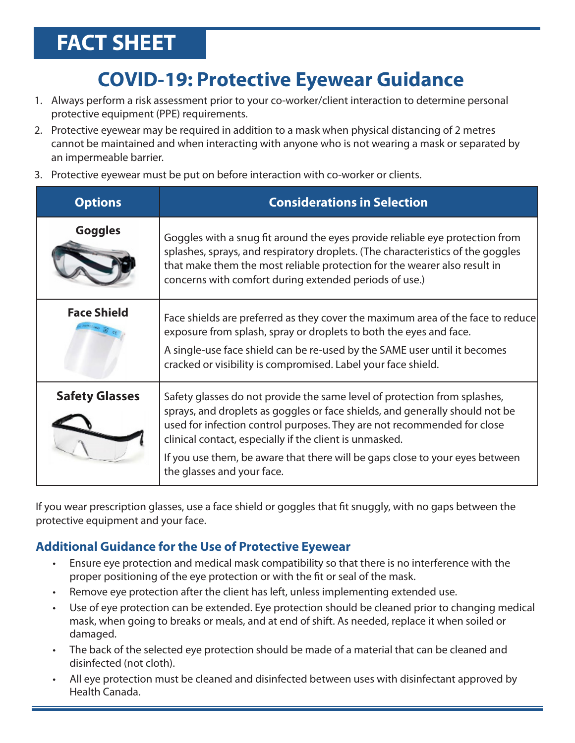## **FACT SHEET**

## **COVID-19: Protective Eyewear Guidance**

- 1. Always perform a risk assessment prior to your co-worker/client interaction to determine personal protective equipment (PPE) requirements.
- 2. Protective eyewear may be required in addition to a mask when physical distancing of 2 metres cannot be maintained and when interacting with anyone who is not wearing a mask or separated by an impermeable barrier.
- 3. Protective eyewear must be put on before interaction with co-worker or clients.

| <b>Options</b>        | <b>Considerations in Selection</b>                                                                                                                                                                                                                                                                                                                                                                            |
|-----------------------|---------------------------------------------------------------------------------------------------------------------------------------------------------------------------------------------------------------------------------------------------------------------------------------------------------------------------------------------------------------------------------------------------------------|
| <b>Goggles</b>        | Goggles with a snug fit around the eyes provide reliable eye protection from<br>splashes, sprays, and respiratory droplets. (The characteristics of the goggles<br>that make them the most reliable protection for the wearer also result in<br>concerns with comfort during extended periods of use.)                                                                                                        |
| <b>Face Shield</b>    | Face shields are preferred as they cover the maximum area of the face to reduce<br>exposure from splash, spray or droplets to both the eyes and face.<br>A single-use face shield can be re-used by the SAME user until it becomes<br>cracked or visibility is compromised. Label your face shield.                                                                                                           |
| <b>Safety Glasses</b> | Safety glasses do not provide the same level of protection from splashes,<br>sprays, and droplets as goggles or face shields, and generally should not be<br>used for infection control purposes. They are not recommended for close<br>clinical contact, especially if the client is unmasked.<br>If you use them, be aware that there will be gaps close to your eyes between<br>the glasses and your face. |

If you wear prescription glasses, use a face shield or goggles that fit snuggly, with no gaps between the protective equipment and your face.

## **Additional Guidance for the Use of Protective Eyewear**

- Ensure eye protection and medical mask compatibility so that there is no interference with the proper positioning of the eye protection or with the fit or seal of the mask.
- Remove eye protection after the client has left, unless implementing extended use.
- Use of eye protection can be extended. Eye protection should be cleaned prior to changing medical mask, when going to breaks or meals, and at end of shift. As needed, replace it when soiled or damaged.
- The back of the selected eye protection should be made of a material that can be cleaned and disinfected (not cloth).
- All eye protection must be cleaned and disinfected between uses with disinfectant approved by Health Canada.